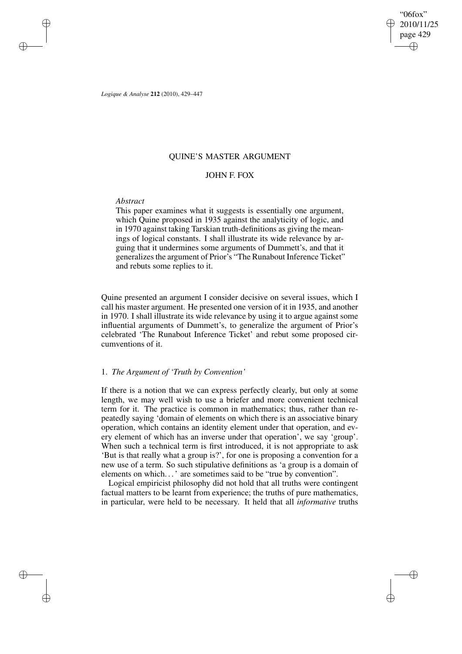"06fox" 2010/11/25 page 429 ✐ ✐

✐

✐

*Logique & Analyse* **212** (2010), 429–447

# QUINE'S MASTER ARGUMENT

# JOHN F. FOX

### *Abstract*

✐

✐

✐

✐

This paper examines what it suggests is essentially one argument, which Quine proposed in 1935 against the analyticity of logic, and in 1970 against taking Tarskian truth-definitions as giving the meanings of logical constants. I shall illustrate its wide relevance by arguing that it undermines some arguments of Dummett's, and that it generalizes the argument of Prior's "The Runabout Inference Ticket" and rebuts some replies to it.

Quine presented an argument I consider decisive on several issues, which I call his master argument. He presented one version of it in 1935, and another in 1970. I shall illustrate its wide relevance by using it to argue against some influential arguments of Dummett's, to generalize the argument of Prior's celebrated 'The Runabout Inference Ticket' and rebut some proposed circumventions of it.

# 1. *The Argument of 'Truth by Convention'*

If there is a notion that we can express perfectly clearly, but only at some length, we may well wish to use a briefer and more convenient technical term for it. The practice is common in mathematics; thus, rather than repeatedly saying 'domain of elements on which there is an associative binary operation, which contains an identity element under that operation, and every element of which has an inverse under that operation', we say 'group'. When such a technical term is first introduced, it is not appropriate to ask 'But is that really what a group is?', for one is proposing a convention for a new use of a term. So such stipulative definitions as 'a group is a domain of elements on which...' are sometimes said to be "true by convention".

Logical empiricist philosophy did not hold that all truths were contingent factual matters to be learnt from experience; the truths of pure mathematics, in particular, were held to be necessary. It held that all *informative* truths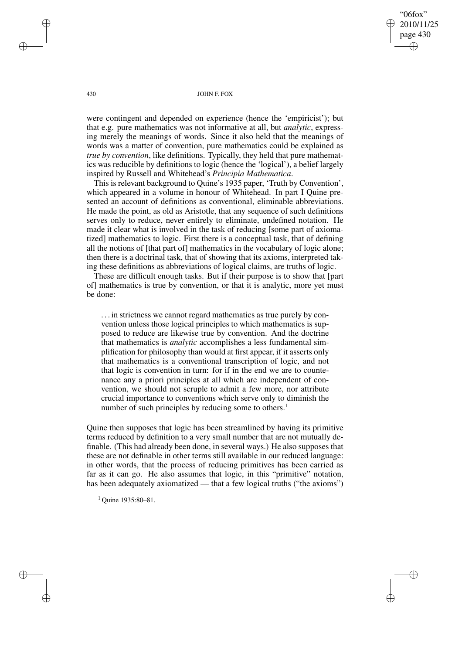"06fox" 2010/11/25 page 430 ✐ ✐

✐

✐

430 JOHN F. FOX

were contingent and depended on experience (hence the 'empiricist'); but that e.g. pure mathematics was not informative at all, but *analytic*, expressing merely the meanings of words. Since it also held that the meanings of words was a matter of convention, pure mathematics could be explained as *true by convention*, like definitions. Typically, they held that pure mathematics was reducible by definitions to logic (hence the 'logical'), a belief largely inspired by Russell and Whitehead's *Principia Mathematica*.

This is relevant background to Quine's 1935 paper, 'Truth by Convention', which appeared in a volume in honour of Whitehead. In part I Quine presented an account of definitions as conventional, eliminable abbreviations. He made the point, as old as Aristotle, that any sequence of such definitions serves only to reduce, never entirely to eliminate, undefined notation. He made it clear what is involved in the task of reducing [some part of axiomatized] mathematics to logic. First there is a conceptual task, that of defining all the notions of [that part of] mathematics in the vocabulary of logic alone; then there is a doctrinal task, that of showing that its axioms, interpreted taking these definitions as abbreviations of logical claims, are truths of logic.

These are difficult enough tasks. But if their purpose is to show that [part of] mathematics is true by convention, or that it is analytic, more yet must be done:

. . . in strictness we cannot regard mathematics as true purely by convention unless those logical principles to which mathematics is supposed to reduce are likewise true by convention. And the doctrine that mathematics is *analytic* accomplishes a less fundamental simplification for philosophy than would at first appear, if it asserts only that mathematics is a conventional transcription of logic, and not that logic is convention in turn: for if in the end we are to countenance any a priori principles at all which are independent of convention, we should not scruple to admit a few more, nor attribute crucial importance to conventions which serve only to diminish the number of such principles by reducing some to others.<sup>1</sup>

Quine then supposes that logic has been streamlined by having its primitive terms reduced by definition to a very small number that are not mutually definable. (This had already been done, in several ways.) He also supposes that these are not definable in other terms still available in our reduced language: in other words, that the process of reducing primitives has been carried as far as it can go. He also assumes that logic, in this "primitive" notation, has been adequately axiomatized — that a few logical truths ("the axioms")

 $1$  Ouine 1935:80-81.

✐

✐

✐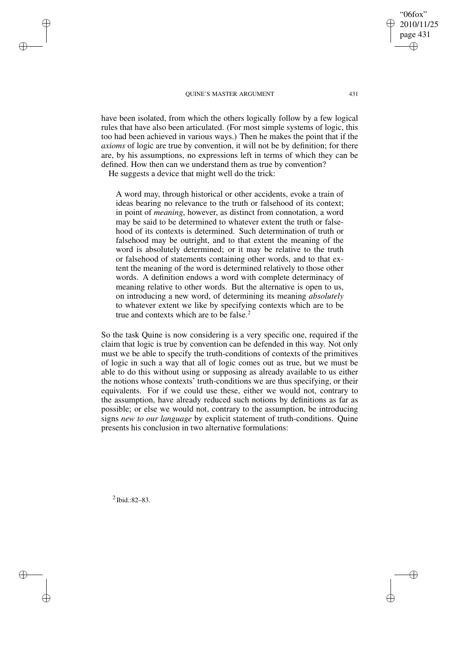have been isolated, from which the others logically follow by a few logical rules that have also been articulated. (For most simple systems of logic, this too had been achieved in various ways.) Then he makes the point that if the *axioms* of logic are true by convention, it will not be by definition; for there are, by his assumptions, no expressions left in terms of which they can be defined. How then can we understand them as true by convention?

He suggests a device that might well do the trick:

✐

✐

✐

✐

A word may, through historical or other accidents, evoke a train of ideas bearing no relevance to the truth or falsehood of its context; in point of *meaning*, however, as distinct from connotation, a word may be said to be determined to whatever extent the truth or falsehood of its contexts is determined. Such determination of truth or falsehood may be outright, and to that extent the meaning of the word is absolutely determined; or it may be relative to the truth or falsehood of statements containing other words, and to that extent the meaning of the word is determined relatively to those other words. A definition endows a word with complete determinacy of meaning relative to other words. But the alternative is open to us, on introducing a new word, of determining its meaning *absolutely* to whatever extent we like by specifying contexts which are to be true and contexts which are to be false.<sup>2</sup>

So the task Quine is now considering is a very specific one, required if the claim that logic is true by convention can be defended in this way. Not only must we be able to specify the truth-conditions of contexts of the primitives of logic in such a way that all of logic comes out as true, but we must be able to do this without using or supposing as already available to us either the notions whose contexts' truth-conditions we are thus specifying, or their equivalents. For if we could use these, either we would not, contrary to the assumption, have already reduced such notions by definitions as far as possible; or else we would not, contrary to the assumption, be introducing signs *new to our language* by explicit statement of truth-conditions. Quine presents his conclusion in two alternative formulations:

 $2$  Ibid.:82-83.

✐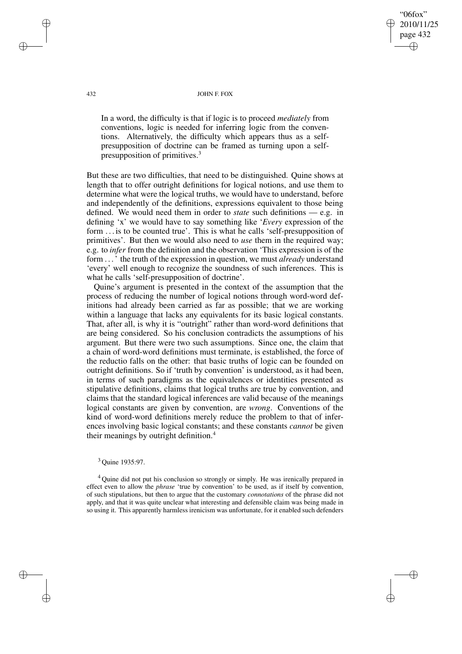"06fox" 2010/11/25 page 432 ✐ ✐

✐

✐

#### 432 JOHN F. FOX

In a word, the difficulty is that if logic is to proceed *mediately* from conventions, logic is needed for inferring logic from the conventions. Alternatively, the difficulty which appears thus as a selfpresupposition of doctrine can be framed as turning upon a selfpresupposition of primitives.<sup>3</sup>

But these are two difficulties, that need to be distinguished. Quine shows at length that to offer outright definitions for logical notions, and use them to determine what were the logical truths, we would have to understand, before and independently of the definitions, expressions equivalent to those being defined. We would need them in order to *state* such definitions — e.g. in defining 'x' we would have to say something like '*Every* expression of the form . . . is to be counted true'. This is what he calls 'self-presupposition of primitives'. But then we would also need to *use* them in the required way; e.g. to *infer* from the definition and the observation 'This expression is of the form . . .' the truth of the expression in question, we must *already* understand 'every' well enough to recognize the soundness of such inferences. This is what he calls 'self-presupposition of doctrine'.

Quine's argument is presented in the context of the assumption that the process of reducing the number of logical notions through word-word definitions had already been carried as far as possible; that we are working within a language that lacks any equivalents for its basic logical constants. That, after all, is why it is "outright" rather than word-word definitions that are being considered. So his conclusion contradicts the assumptions of his argument. But there were two such assumptions. Since one, the claim that a chain of word-word definitions must terminate, is established, the force of the reductio falls on the other: that basic truths of logic can be founded on outright definitions. So if 'truth by convention' is understood, as it had been, in terms of such paradigms as the equivalences or identities presented as stipulative definitions, claims that logical truths are true by convention, and claims that the standard logical inferences are valid because of the meanings logical constants are given by convention, are *wrong*. Conventions of the kind of word-word definitions merely reduce the problem to that of inferences involving basic logical constants; and these constants *cannot* be given their meanings by outright definition.<sup>4</sup>

### <sup>3</sup> Quine 1935:97.

<sup>4</sup> Quine did not put his conclusion so strongly or simply. He was irenically prepared in effect even to allow the *phrase* 'true by convention' to be used, as if itself by convention, of such stipulations, but then to argue that the customary *connotations* of the phrase did not apply, and that it was quite unclear what interesting and defensible claim was being made in so using it. This apparently harmless irenicism was unfortunate, for it enabled such defenders

✐

✐

✐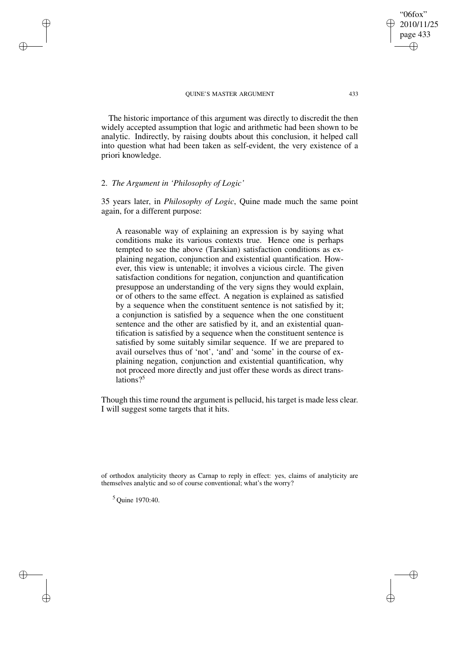The historic importance of this argument was directly to discredit the then widely accepted assumption that logic and arithmetic had been shown to be analytic. Indirectly, by raising doubts about this conclusion, it helped call into question what had been taken as self-evident, the very existence of a priori knowledge.

# 2. *The Argument in 'Philosophy of Logic'*

✐

✐

✐

✐

35 years later, in *Philosophy of Logic*, Quine made much the same point again, for a different purpose:

A reasonable way of explaining an expression is by saying what conditions make its various contexts true. Hence one is perhaps tempted to see the above (Tarskian) satisfaction conditions as explaining negation, conjunction and existential quantification. However, this view is untenable; it involves a vicious circle. The given satisfaction conditions for negation, conjunction and quantification presuppose an understanding of the very signs they would explain, or of others to the same effect. A negation is explained as satisfied by a sequence when the constituent sentence is not satisfied by it; a conjunction is satisfied by a sequence when the one constituent sentence and the other are satisfied by it, and an existential quantification is satisfied by a sequence when the constituent sentence is satisfied by some suitably similar sequence. If we are prepared to avail ourselves thus of 'not', 'and' and 'some' in the course of explaining negation, conjunction and existential quantification, why not proceed more directly and just offer these words as direct translations? $5$ 

Though this time round the argument is pellucid, his target is made less clear. I will suggest some targets that it hits.

of orthodox analyticity theory as Carnap to reply in effect: yes, claims of analyticity are themselves analytic and so of course conventional; what's the worry?

<sup>5</sup> Quine 1970:40.

"06fox" 2010/11/25 page 433

✐

✐

✐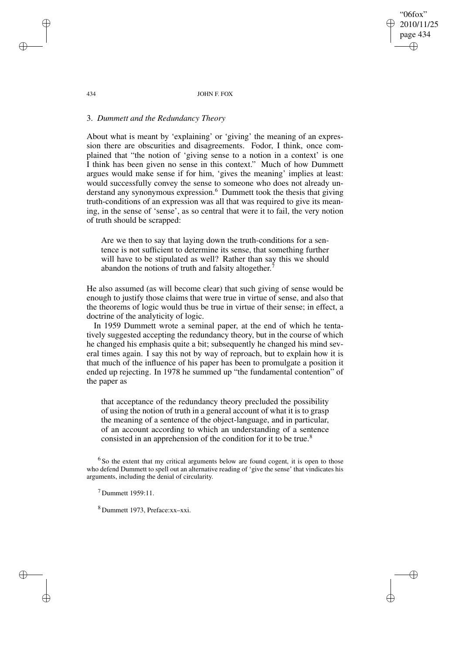434 JOHN F. FOX

"06fox" 2010/11/25 page 434

✐

✐

✐

✐

# 3. *Dummett and the Redundancy Theory*

About what is meant by 'explaining' or 'giving' the meaning of an expression there are obscurities and disagreements. Fodor, I think, once complained that "the notion of 'giving sense to a notion in a context' is one I think has been given no sense in this context." Much of how Dummett argues would make sense if for him, 'gives the meaning' implies at least: would successfully convey the sense to someone who does not already understand any synonymous expression.<sup>6</sup> Dummett took the thesis that giving truth-conditions of an expression was all that was required to give its meaning, in the sense of 'sense', as so central that were it to fail, the very notion of truth should be scrapped:

Are we then to say that laying down the truth-conditions for a sentence is not sufficient to determine its sense, that something further will have to be stipulated as well? Rather than say this we should abandon the notions of truth and falsity altogether.<sup>7</sup>

He also assumed (as will become clear) that such giving of sense would be enough to justify those claims that were true in virtue of sense, and also that the theorems of logic would thus be true in virtue of their sense; in effect, a doctrine of the analyticity of logic.

In 1959 Dummett wrote a seminal paper, at the end of which he tentatively suggested accepting the redundancy theory, but in the course of which he changed his emphasis quite a bit; subsequently he changed his mind several times again. I say this not by way of reproach, but to explain how it is that much of the influence of his paper has been to promulgate a position it ended up rejecting. In 1978 he summed up "the fundamental contention" of the paper as

that acceptance of the redundancy theory precluded the possibility of using the notion of truth in a general account of what it is to grasp the meaning of a sentence of the object-language, and in particular, of an account according to which an understanding of a sentence consisted in an apprehension of the condition for it to be true.<sup>8</sup>

 $6$  So the extent that my critical arguments below are found cogent, it is open to those who defend Dummett to spell out an alternative reading of 'give the sense' that vindicates his arguments, including the denial of circularity.

<sup>7</sup> Dummett 1959:11.

<sup>8</sup> Dummett 1973, Preface:xx–xxi.

✐

✐

✐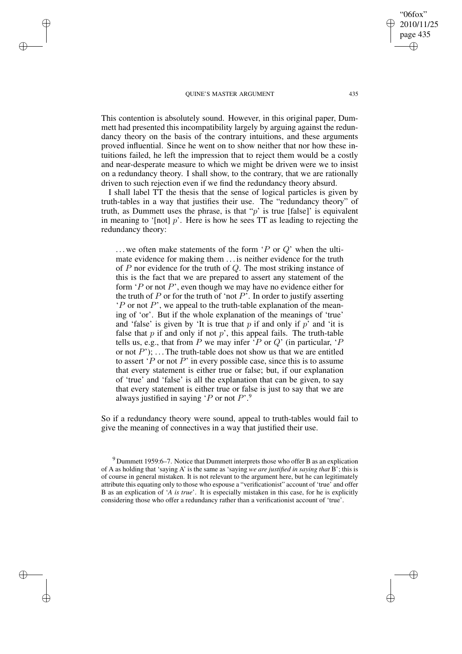✐

✐

✐

✐

This contention is absolutely sound. However, in this original paper, Dummett had presented this incompatibility largely by arguing against the redundancy theory on the basis of the contrary intuitions, and these arguments proved influential. Since he went on to show neither that nor how these intuitions failed, he left the impression that to reject them would be a costly and near-desperate measure to which we might be driven were we to insist on a redundancy theory. I shall show, to the contrary, that we are rationally driven to such rejection even if we find the redundancy theory absurd.

I shall label TT the thesis that the sense of logical particles is given by truth-tables in a way that justifies their use. The "redundancy theory" of truth, as Dummett uses the phrase, is that " $p$ " is true [false]" is equivalent in meaning to '[not]  $p$ '. Here is how he sees TT as leading to rejecting the redundancy theory:

... we often make statements of the form  $P$  or  $Q$ ' when the ultimate evidence for making them . . . is neither evidence for the truth of P nor evidence for the truth of Q. The most striking instance of this is the fact that we are prepared to assert any statement of the form  $\Delta P$  or not P', even though we may have no evidence either for the truth of P or for the truth of 'not  $P'$ . In order to justify asserting  $P$  or not  $P$ , we appeal to the truth-table explanation of the meaning of 'or'. But if the whole explanation of the meanings of 'true' and 'false' is given by 'It is true that  $p$  if and only if  $p'$  and 'it is false that  $p$  if and only if not  $p'$ , this appeal fails. The truth-table tells us, e.g., that from P we may infer 'P or Q' (in particular, 'P or not  $P$ ); ... The truth-table does not show us that we are entitled to assert  $'P$  or not  $P'$  in every possible case, since this is to assume that every statement is either true or false; but, if our explanation of 'true' and 'false' is all the explanation that can be given, to say that every statement is either true or false is just to say that we are always justified in saying  $\mathcal{P}$  or not  $P^{\prime}$ .

So if a redundancy theory were sound, appeal to truth-tables would fail to give the meaning of connectives in a way that justified their use.

✐

<sup>9</sup> Dummett 1959:6–7. Notice that Dummett interprets those who offer B as an explication of A as holding that 'saying A' is the same as 'saying *we are justified in saying that* B'; this is of course in general mistaken. It is not relevant to the argument here, but he can legitimately attribute this equating only to those who espouse a "verificationist" account of 'true' and offer B as an explication of '*A is true*'. It is especially mistaken in this case, for he is explicitly considering those who offer a redundancy rather than a verificationist account of 'true'.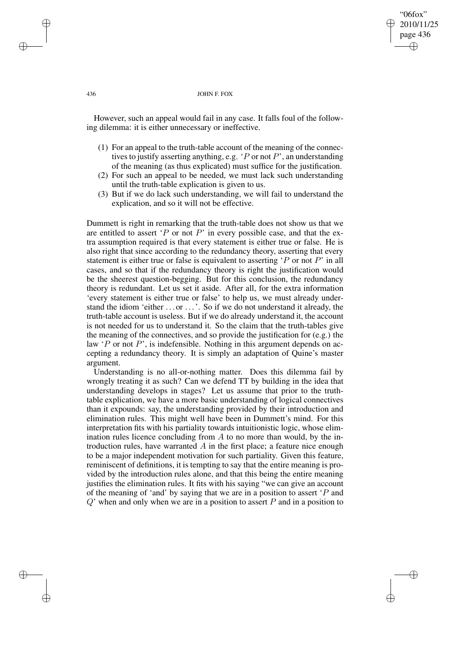#### 436 JOHN F. FOX

"06fox" 2010/11/25 page 436

✐

✐

✐

✐

However, such an appeal would fail in any case. It falls foul of the following dilemma: it is either unnecessary or ineffective.

- (1) For an appeal to the truth-table account of the meaning of the connectives to justify asserting anything, e.g.  $\cdot$  P or not P', an understanding of the meaning (as thus explicated) must suffice for the justification.
- (2) For such an appeal to be needed, we must lack such understanding until the truth-table explication is given to us.
- (3) But if we do lack such understanding, we will fail to understand the explication, and so it will not be effective.

Dummett is right in remarking that the truth-table does not show us that we are entitled to assert 'P or not P' in every possible case, and that the extra assumption required is that every statement is either true or false. He is also right that since according to the redundancy theory, asserting that every statement is either true or false is equivalent to asserting  $\Delta P$  or not P in all cases, and so that if the redundancy theory is right the justification would be the sheerest question-begging. But for this conclusion, the redundancy theory is redundant. Let us set it aside. After all, for the extra information 'every statement is either true or false' to help us, we must already understand the idiom 'either . . . or . . .'. So if we do not understand it already, the truth-table account is useless. But if we do already understand it, the account is not needed for us to understand it. So the claim that the truth-tables give the meaning of the connectives, and so provide the justification for (e.g.) the law  $P$  or not P', is indefensible. Nothing in this argument depends on accepting a redundancy theory. It is simply an adaptation of Quine's master argument.

Understanding is no all-or-nothing matter. Does this dilemma fail by wrongly treating it as such? Can we defend TT by building in the idea that understanding develops in stages? Let us assume that prior to the truthtable explication, we have a more basic understanding of logical connectives than it expounds: say, the understanding provided by their introduction and elimination rules. This might well have been in Dummett's mind. For this interpretation fits with his partiality towards intuitionistic logic, whose elimination rules licence concluding from  $A$  to no more than would, by the introduction rules, have warranted  $A$  in the first place; a feature nice enough to be a major independent motivation for such partiality. Given this feature, reminiscent of definitions, it is tempting to say that the entire meaning is provided by the introduction rules alone, and that this being the entire meaning justifies the elimination rules. It fits with his saying "we can give an account of the meaning of 'and' by saying that we are in a position to assert 'P and  $Q'$  when and only when we are in a position to assert  $P$  and in a position to

✐

✐

✐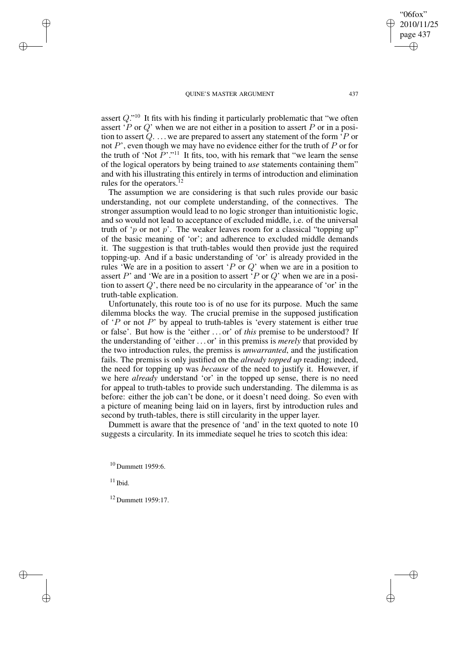assert  $Q$ ."<sup>10</sup> It fits with his finding it particularly problematic that "we often assert 'P or Q' when we are not either in a position to assert P or in a position to assert  $Q_1 \ldots$  we are prepared to assert any statement of the form  $\overline{P}$  or not P', even though we may have no evidence either for the truth of P or for the truth of 'Not  $P$ '."<sup>11</sup> It fits, too, with his remark that "we learn the sense of the logical operators by being trained to *use* statements containing them" and with his illustrating this entirely in terms of introduction and elimination rules for the operators. $^{12}$ 

The assumption we are considering is that such rules provide our basic understanding, not our complete understanding, of the connectives. The stronger assumption would lead to no logic stronger than intuitionistic logic, and so would not lead to acceptance of excluded middle, i.e. of the universal truth of 'p or not p'. The weaker leaves room for a classical "topping up" of the basic meaning of 'or'; and adherence to excluded middle demands it. The suggestion is that truth-tables would then provide just the required topping-up. And if a basic understanding of 'or' is already provided in the rules 'We are in a position to assert 'P or  $Q$ ' when we are in a position to assert  $P'$  and 'We are in a position to assert ' $P$  or  $Q'$  when we are in a position to assert  $Q'$ , there need be no circularity in the appearance of 'or' in the truth-table explication.

Unfortunately, this route too is of no use for its purpose. Much the same dilemma blocks the way. The crucial premise in the supposed justification of  $P$  or not P' by appeal to truth-tables is 'every statement is either true or false'. But how is the 'either . . . or' of *this* premise to be understood? If the understanding of 'either . . . or' in this premiss is *merely* that provided by the two introduction rules, the premiss is *unwarranted*, and the justification fails. The premiss is only justified on the *already topped up* reading; indeed, the need for topping up was *because* of the need to justify it. However, if we here *already* understand 'or' in the topped up sense, there is no need for appeal to truth-tables to provide such understanding. The dilemma is as before: either the job can't be done, or it doesn't need doing. So even with a picture of meaning being laid on in layers, first by introduction rules and second by truth-tables, there is still circularity in the upper layer.

Dummett is aware that the presence of 'and' in the text quoted to note 10 suggests a circularity. In its immediate sequel he tries to scotch this idea:

 $10$  Dummett 1959:6.

 $11$  Ibid.

✐

✐

✐

✐

<sup>12</sup> Dummett 1959:17.

"06fox" 2010/11/25 page 437

✐

✐

✐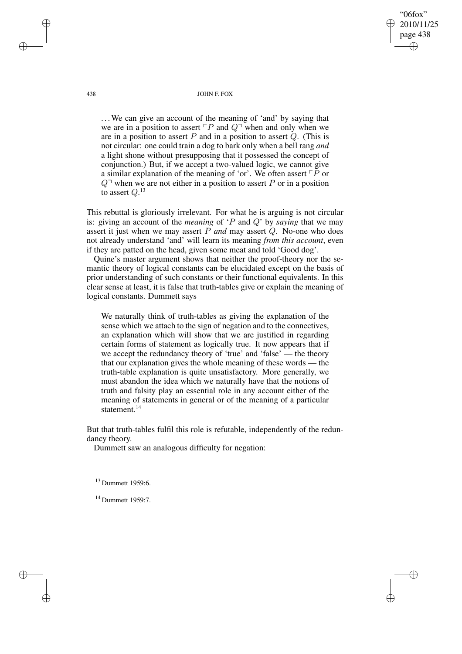438 JOHN F. FOX

"06fox" 2010/11/25 page 438

✐

✐

✐

✐

... We can give an account of the meaning of 'and' by saying that we are in a position to assert  $\ulcorner P$  and  $Q\urcorner$  when and only when we are in a position to assert  $P$  and in a position to assert  $Q$ . (This is not circular: one could train a dog to bark only when a bell rang *and* a light shone without presupposing that it possessed the concept of conjunction.) But, if we accept a two-valued logic, we cannot give a similar explanation of the meaning of 'or'. We often assert  $\ulcorner P$  or  $Q^{\dagger}$  when we are not either in a position to assert P or in a position to assert  $Q.^{13}$ 

This rebuttal is gloriously irrelevant. For what he is arguing is not circular is: giving an account of the *meaning* of 'P and Q' by *saying* that we may assert it just when we may assert P *and* may assert Q. No-one who does not already understand 'and' will learn its meaning *from this account*, even if they are patted on the head, given some meat and told 'Good dog'.

Quine's master argument shows that neither the proof-theory nor the semantic theory of logical constants can be elucidated except on the basis of prior understanding of such constants or their functional equivalents. In this clear sense at least, it is false that truth-tables give or explain the meaning of logical constants. Dummett says

We naturally think of truth-tables as giving the explanation of the sense which we attach to the sign of negation and to the connectives, an explanation which will show that we are justified in regarding certain forms of statement as logically true. It now appears that if we accept the redundancy theory of 'true' and 'false' — the theory that our explanation gives the whole meaning of these words — the truth-table explanation is quite unsatisfactory. More generally, we must abandon the idea which we naturally have that the notions of truth and falsity play an essential role in any account either of the meaning of statements in general or of the meaning of a particular statement.<sup>14</sup>

But that truth-tables fulfil this role is refutable, independently of the redundancy theory.

Dummett saw an analogous difficulty for negation:

<sup>13</sup> Dummett 1959:6.

<sup>14</sup> Dummett 1959:7.

✐

✐

✐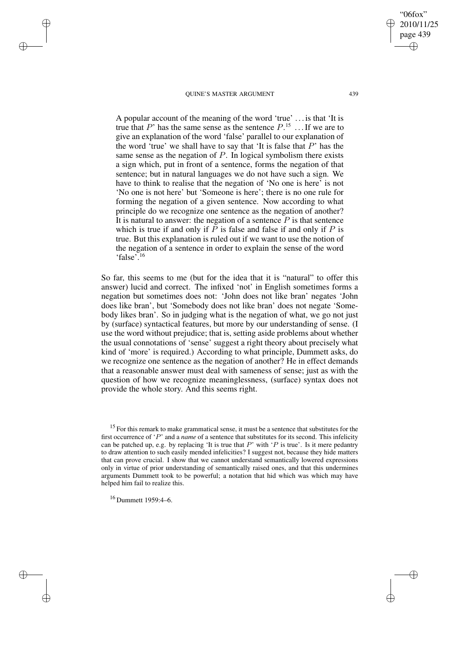"06fox" 2010/11/25 page 439 ✐ ✐

✐

✐

A popular account of the meaning of the word 'true' . . . is that 'It is true that P' has the same sense as the sentence  $P$ .<sup>15</sup> ... If we are to give an explanation of the word 'false' parallel to our explanation of the word 'true' we shall have to say that 'It is false that  $P$ ' has the same sense as the negation of  $P$ . In logical symbolism there exists a sign which, put in front of a sentence, forms the negation of that sentence; but in natural languages we do not have such a sign. We have to think to realise that the negation of 'No one is here' is not 'No one is not here' but 'Someone is here'; there is no one rule for forming the negation of a given sentence. Now according to what principle do we recognize one sentence as the negation of another? It is natural to answer: the negation of a sentence  $P$  is that sentence which is true if and only if  $\overline{P}$  is false and false if and only if  $P$  is true. But this explanation is ruled out if we want to use the notion of the negation of a sentence in order to explain the sense of the word 'false'.<sup>16</sup>

So far, this seems to me (but for the idea that it is "natural" to offer this answer) lucid and correct. The infixed 'not' in English sometimes forms a negation but sometimes does not: 'John does not like bran' negates 'John does like bran', but 'Somebody does not like bran' does not negate 'Somebody likes bran'. So in judging what is the negation of what, we go not just by (surface) syntactical features, but more by our understanding of sense. (I use the word without prejudice; that is, setting aside problems about whether the usual connotations of 'sense' suggest a right theory about precisely what kind of 'more' is required.) According to what principle, Dummett asks, do we recognize one sentence as the negation of another? He in effect demands that a reasonable answer must deal with sameness of sense; just as with the question of how we recognize meaninglessness, (surface) syntax does not provide the whole story. And this seems right.

<sup>15</sup> For this remark to make grammatical sense, it must be a sentence that substitutes for the first occurrence of 'P' and a *name* of a sentence that substitutes for its second. This infelicity can be patched up, e.g. by replacing 'It is true that  $P'$  with ' $P$  is true'. Is it mere pedantry to draw attention to such easily mended infelicities? I suggest not, because they hide matters that can prove crucial. I show that we cannot understand semantically lowered expressions only in virtue of prior understanding of semantically raised ones, and that this undermines arguments Dummett took to be powerful; a notation that hid which was which may have helped him fail to realize this.

<sup>16</sup> Dummett 1959:4–6.

✐

✐

✐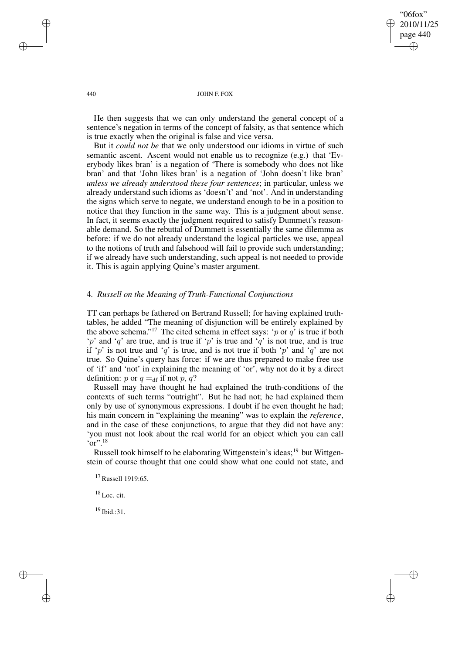"06fox" 2010/11/25 page 440 ✐ ✐

✐

✐

#### 440 JOHN F. FOX

He then suggests that we can only understand the general concept of a sentence's negation in terms of the concept of falsity, as that sentence which is true exactly when the original is false and vice versa.

But it *could not be* that we only understood our idioms in virtue of such semantic ascent. Ascent would not enable us to recognize (e.g.) that 'Everybody likes bran' is a negation of 'There is somebody who does not like bran' and that 'John likes bran' is a negation of 'John doesn't like bran' *unless we already understood these four sentences*; in particular, unless we already understand such idioms as 'doesn't' and 'not'. And in understanding the signs which serve to negate, we understand enough to be in a position to notice that they function in the same way. This is a judgment about sense. In fact, it seems exactly the judgment required to satisfy Dummett's reasonable demand. So the rebuttal of Dummett is essentially the same dilemma as before: if we do not already understand the logical particles we use, appeal to the notions of truth and falsehood will fail to provide such understanding; if we already have such understanding, such appeal is not needed to provide it. This is again applying Quine's master argument.

# 4. *Russell on the Meaning of Truth-Functional Conjunctions*

TT can perhaps be fathered on Bertrand Russell; for having explained truthtables, he added "The meaning of disjunction will be entirely explained by the above schema."<sup>17</sup> The cited schema in effect says: 'p or  $q$ ' is true if both 'p' and 'q' are true, and is true if 'p' is true and 'q' is not true, and is true if 'p' is not true and 'q' is true, and is not true if both 'p' and 'q' are not true. So Quine's query has force: if we are thus prepared to make free use of 'if' and 'not' in explaining the meaning of 'or', why not do it by a direct definition: p or  $q =_{df}$  if not p, q?

Russell may have thought he had explained the truth-conditions of the contexts of such terms "outright". But he had not; he had explained them only by use of synonymous expressions. I doubt if he even thought he had; his main concern in "explaining the meaning" was to explain the *reference*, and in the case of these conjunctions, to argue that they did not have any: 'you must not look about the real world for an object which you can call  $\cdot$ or".<sup>18</sup>

Russell took himself to be elaborating Wittgenstein's ideas;<sup>19</sup> but Wittgenstein of course thought that one could show what one could not state, and

<sup>17</sup> Russell 1919:65.

 $18$  Loc. cit.

<sup>19</sup> Ibid.:31.

✐

✐

✐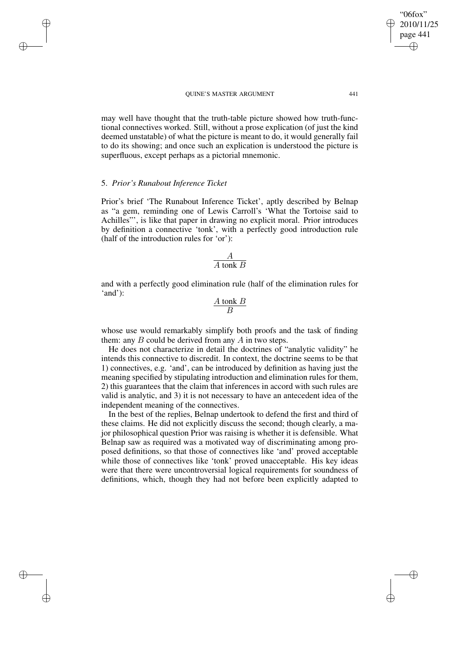may well have thought that the truth-table picture showed how truth-functional connectives worked. Still, without a prose explication (of just the kind deemed unstatable) of what the picture is meant to do, it would generally fail to do its showing; and once such an explication is understood the picture is superfluous, except perhaps as a pictorial mnemonic.

### 5. *Prior's Runabout Inference Ticket*

✐

✐

✐

✐

Prior's brief 'The Runabout Inference Ticket', aptly described by Belnap as "a gem, reminding one of Lewis Carroll's 'What the Tortoise said to Achilles"', is like that paper in drawing no explicit moral. Prior introduces by definition a connective 'tonk', with a perfectly good introduction rule (half of the introduction rules for 'or'):

$$
\frac{A}{A \tanh B}
$$

and with a perfectly good elimination rule (half of the elimination rules for 'and'):

$$
\frac{A \tanh B}{B}
$$

whose use would remarkably simplify both proofs and the task of finding them: any  $B$  could be derived from any  $A$  in two steps.

He does not characterize in detail the doctrines of "analytic validity" he intends this connective to discredit. In context, the doctrine seems to be that 1) connectives, e.g. 'and', can be introduced by definition as having just the meaning specified by stipulating introduction and elimination rules for them, 2) this guarantees that the claim that inferences in accord with such rules are valid is analytic, and 3) it is not necessary to have an antecedent idea of the independent meaning of the connectives.

In the best of the replies, Belnap undertook to defend the first and third of these claims. He did not explicitly discuss the second; though clearly, a major philosophical question Prior was raising is whether it is defensible. What Belnap saw as required was a motivated way of discriminating among proposed definitions, so that those of connectives like 'and' proved acceptable while those of connectives like 'tonk' proved unacceptable. His key ideas were that there were uncontroversial logical requirements for soundness of definitions, which, though they had not before been explicitly adapted to

"06fox" 2010/11/25 page 441

✐

✐

✐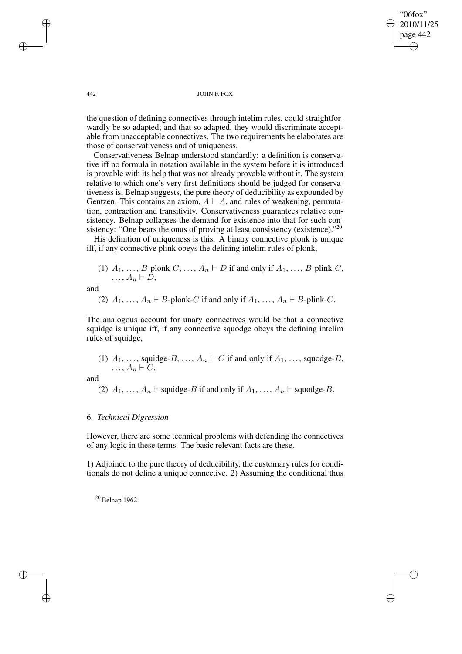"06fox" 2010/11/25 page 442 ✐ ✐

✐

✐

#### 442 JOHN F. FOX

the question of defining connectives through intelim rules, could straightforwardly be so adapted; and that so adapted, they would discriminate acceptable from unacceptable connectives. The two requirements he elaborates are those of conservativeness and of uniqueness.

Conservativeness Belnap understood standardly: a definition is conservative iff no formula in notation available in the system before it is introduced is provable with its help that was not already provable without it. The system relative to which one's very first definitions should be judged for conservativeness is, Belnap suggests, the pure theory of deducibility as expounded by Gentzen. This contains an axiom,  $A \vdash A$ , and rules of weakening, permutation, contraction and transitivity. Conservativeness guarantees relative consistency. Belnap collapses the demand for existence into that for such consistency: "One bears the onus of proving at least consistency (existence)."<sup>20</sup>

His definition of uniqueness is this. A binary connective plonk is unique iff, if any connective plink obeys the defining intelim rules of plonk,

(1) 
$$
A_1, \ldots, B
$$
-plonk-C, ...,  $A_n \vdash D$  if and only if  $A_1, \ldots, B$ -plink-C, ...,  $A_n \vdash D$ ,

and

(2) 
$$
A_1, \ldots, A_n \vdash B
$$
-plonk-C if and only if  $A_1, \ldots, A_n \vdash B$ -plink-C.

The analogous account for unary connectives would be that a connective squidge is unique iff, if any connective squodge obeys the defining intelim rules of squidge,

(1)  $A_1, \ldots$ , squidge-B, ...,  $A_n \vdash C$  if and only if  $A_1, \ldots$ , squodge-B,  $\ldots$ ,  $A_n \vdash C$ ,

and

✐

✐

(2)  $A_1, \ldots, A_n \vdash$  squidge-B if and only if  $A_1, \ldots, A_n \vdash$  squodge-B.

### 6. *Technical Digression*

However, there are some technical problems with defending the connectives of any logic in these terms. The basic relevant facts are these.

1) Adjoined to the pure theory of deducibility, the customary rules for conditionals do not define a unique connective. 2) Assuming the conditional thus

<sup>20</sup> Belnap 1962.

✐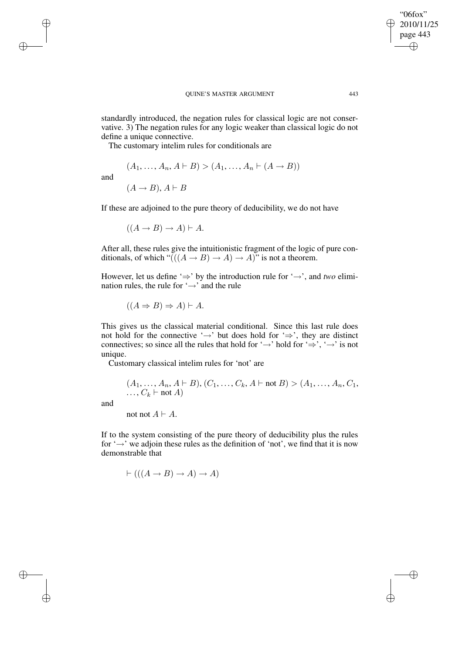standardly introduced, the negation rules for classical logic are not conservative. 3) The negation rules for any logic weaker than classical logic do not define a unique connective.

The customary intelim rules for conditionals are

$$
(A_1, \ldots, A_n, A \vdash B) > (A_1, \ldots, A_n \vdash (A \rightarrow B))
$$
\n
$$
(A \rightarrow B), A \vdash B
$$

If these are adjoined to the pure theory of deducibility, we do not have

 $((A \rightarrow B) \rightarrow A) \vdash A$ .

After all, these rules give the intuitionistic fragment of the logic of pure conditionals, of which " $((A \rightarrow B) \rightarrow A) \rightarrow A$ " is not a theorem.

However, let us define '⇒' by the introduction rule for '→', and *two* elimination rules, the rule for  $\rightarrow$  and the rule

$$
((A \Rightarrow B) \Rightarrow A) \vdash A.
$$

This gives us the classical material conditional. Since this last rule does not hold for the connective '→' but does hold for '⇒', they are distinct connectives; so since all the rules that hold for ' $\rightarrow$ ' hold for ' $\Rightarrow$ ', ' $\rightarrow$ ' is not unique.

Customary classical intelim rules for 'not' are

$$
(A_1, ..., A_n, A \vdash B), (C_1, ..., C_k, A \vdash not B) > (A_1, ..., A_n, C_1, ..., C_k \vdash not A)
$$

and

and

✐

✐

✐

✐

not not  $A \vdash A$ .

If to the system consisting of the pure theory of deducibility plus the rules for '→' we adjoin these rules as the definition of 'not', we find that it is now demonstrable that

$$
\vdash (((A \to B) \to A) \to A)
$$

"06fox" 2010/11/25 page 443

✐

✐

✐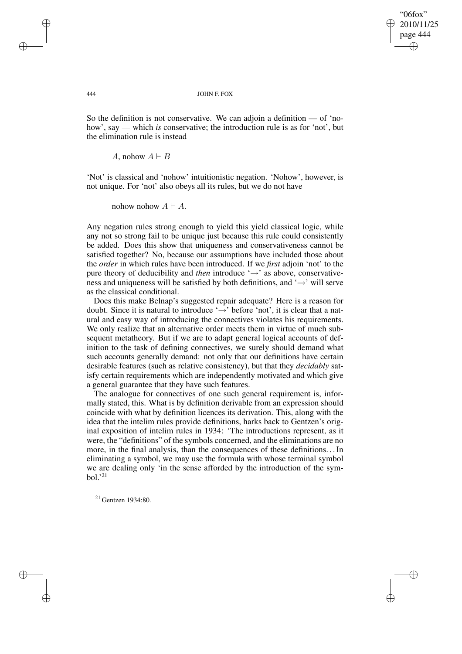✐

✐

#### 444 JOHN F. FOX

So the definition is not conservative. We can adjoin a definition — of 'nohow', say — which *is* conservative; the introduction rule is as for 'not', but the elimination rule is instead

A, nohow  $A \vdash B$ 

'Not' is classical and 'nohow' intuitionistic negation. 'Nohow', however, is not unique. For 'not' also obeys all its rules, but we do not have

nohow nohow  $A \vdash A$ .

Any negation rules strong enough to yield this yield classical logic, while any not so strong fail to be unique just because this rule could consistently be added. Does this show that uniqueness and conservativeness cannot be satisfied together? No, because our assumptions have included those about the *order* in which rules have been introduced. If we *first* adjoin 'not' to the pure theory of deducibility and *then* introduce '→' as above, conservativeness and uniqueness will be satisfied by both definitions, and  $\rightarrow$  will serve as the classical conditional.

Does this make Belnap's suggested repair adequate? Here is a reason for doubt. Since it is natural to introduce ' $\rightarrow$ ' before 'not', it is clear that a natural and easy way of introducing the connectives violates his requirements. We only realize that an alternative order meets them in virtue of much subsequent metatheory. But if we are to adapt general logical accounts of definition to the task of defining connectives, we surely should demand what such accounts generally demand: not only that our definitions have certain desirable features (such as relative consistency), but that they *decidably* satisfy certain requirements which are independently motivated and which give a general guarantee that they have such features.

The analogue for connectives of one such general requirement is, informally stated, this. What is by definition derivable from an expression should coincide with what by definition licences its derivation. This, along with the idea that the intelim rules provide definitions, harks back to Gentzen's original exposition of intelim rules in 1934: 'The introductions represent, as it were, the "definitions" of the symbols concerned, and the eliminations are no more, in the final analysis, than the consequences of these definitions. . .In eliminating a symbol, we may use the formula with whose terminal symbol we are dealing only 'in the sense afforded by the introduction of the symbol.' $^{21}$ 

<sup>21</sup> Gentzen 1934:80.

✐

✐

✐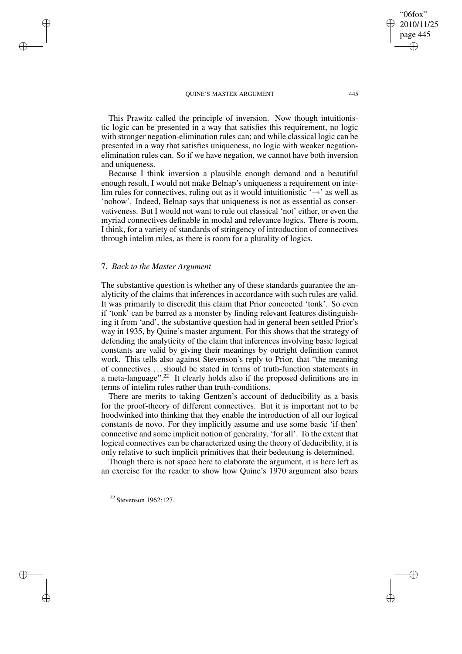This Prawitz called the principle of inversion. Now though intuitionistic logic can be presented in a way that satisfies this requirement, no logic with stronger negation-elimination rules can; and while classical logic can be presented in a way that satisfies uniqueness, no logic with weaker negationelimination rules can. So if we have negation, we cannot have both inversion and uniqueness.

Because I think inversion a plausible enough demand and a beautiful enough result, I would not make Belnap's uniqueness a requirement on intelim rules for connectives, ruling out as it would intuitionistic  $\rightarrow$  as well as 'nohow'. Indeed, Belnap says that uniqueness is not as essential as conservativeness. But I would not want to rule out classical 'not' either, or even the myriad connectives definable in modal and relevance logics. There is room, I think, for a variety of standards of stringency of introduction of connectives through intelim rules, as there is room for a plurality of logics.

# 7. *Back to the Master Argument*

✐

✐

✐

✐

The substantive question is whether any of these standards guarantee the analyticity of the claims that inferences in accordance with such rules are valid. It was primarily to discredit this claim that Prior concocted 'tonk'. So even if 'tonk' can be barred as a monster by finding relevant features distinguishing it from 'and', the substantive question had in general been settled Prior's way in 1935, by Quine's master argument. For this shows that the strategy of defending the analyticity of the claim that inferences involving basic logical constants are valid by giving their meanings by outright definition cannot work. This tells also against Stevenson's reply to Prior, that "the meaning of connectives . . .should be stated in terms of truth-function statements in a meta-language".<sup>22</sup> It clearly holds also if the proposed definitions are in terms of intelim rules rather than truth-conditions.

There are merits to taking Gentzen's account of deducibility as a basis for the proof-theory of different connectives. But it is important not to be hoodwinked into thinking that they enable the introduction of all our logical constants de novo. For they implicitly assume and use some basic 'if-then' connective and some implicit notion of generality, 'for all'. To the extent that logical connectives can be characterized using the theory of deducibility, it is only relative to such implicit primitives that their bedeutung is determined.

Though there is not space here to elaborate the argument, it is here left as an exercise for the reader to show how Quine's 1970 argument also bears

<sup>22</sup> Stevenson 1962:127.

"06fox" 2010/11/25 page 445

✐

✐

✐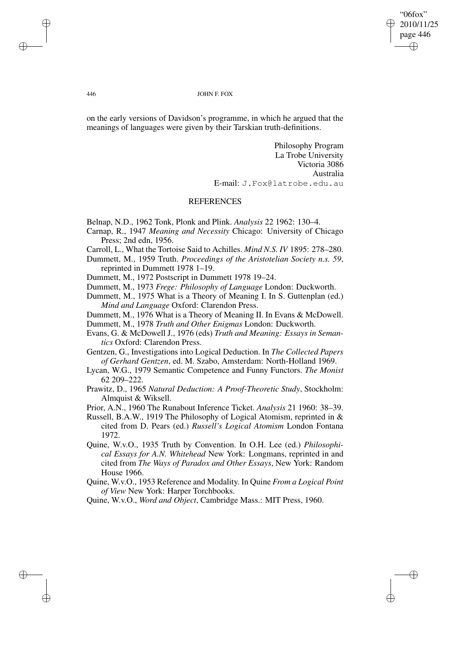"06fox" 2010/11/25 page 446 ✐ ✐

✐

✐

#### 446 JOHN F. FOX

on the early versions of Davidson's programme, in which he argued that the meanings of languages were given by their Tarskian truth-definitions.

> Philosophy Program La Trobe University Victoria 3086 Australia E-mail: J.Fox@latrobe.edu.au

### **REFERENCES**

Belnap, N.D., 1962 Tonk, Plonk and Plink. *Analysis* 22 1962: 130–4.

- Carnap, R., 1947 *Meaning and Necessity* Chicago: University of Chicago Press; 2nd edn, 1956.
- Carroll, L., What the Tortoise Said to Achilles. *Mind N.S. IV* 1895: 278–280.
- Dummett, M., 1959 Truth. *Proceedings of the Aristotelian Society n.s. 59*, reprinted in Dummett 1978 1–19.

Dummett, M., 1972 Postscript in Dummett 1978 19–24.

Dummett, M., 1973 *Frege: Philosophy of Language* London: Duckworth.

- Dummett, M., 1975 What is a Theory of Meaning I. In S. Guttenplan (ed.) *Mind and Language* Oxford: Clarendon Press.
- Dummett, M., 1976 What is a Theory of Meaning II. In Evans & McDowell.

Dummett, M., 1978 *Truth and Other Enigmas* London: Duckworth.

Evans, G. & McDowell J., 1976 (eds) *Truth and Meaning: Essays in Semantics* Oxford: Clarendon Press.

Gentzen, G., Investigations into Logical Deduction. In *The Collected Papers of Gerhard Gentzen*, ed. M. Szabo, Amsterdam: North-Holland 1969.

- Lycan, W.G., 1979 Semantic Competence and Funny Functors. *The Monist* 62 209–222.
- Prawitz, D., 1965 *Natural Deduction: A Proof-Theoretic Study*, Stockholm: Almquist & Wiksell.

Prior, A.N., 1960 The Runabout Inference Ticket. *Analysis* 21 1960: 38–39.

- Russell, B.A.W., 1919 The Philosophy of Logical Atomism, reprinted in & cited from D. Pears (ed.) *Russell's Logical Atomism* London Fontana 1972.
- Quine, W.v.O., 1935 Truth by Convention. In O.H. Lee (ed.) *Philosophical Essays for A.N. Whitehead* New York: Longmans, reprinted in and cited from *The Ways of Paradox and Other Essays*, New York: Random House 1966.
- Quine, W.v.O., 1953 Reference and Modality. In Quine *From a Logical Point of View* New York: Harper Torchbooks.

Quine, W.v.O., *Word and Object*, Cambridge Mass.: MIT Press, 1960.

✐

✐

✐